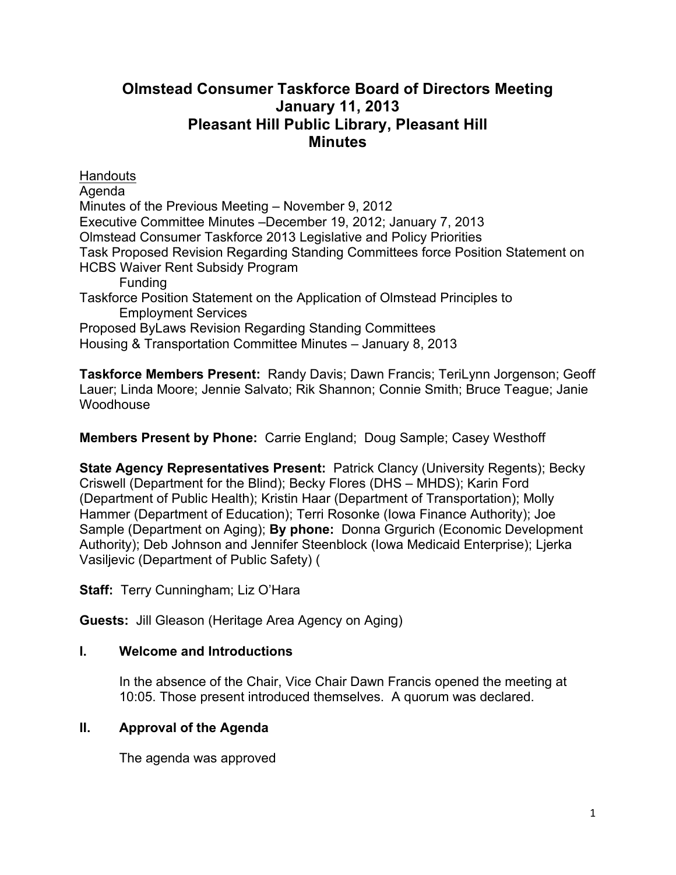# **Olmstead Consumer Taskforce Board of Directors Meeting January 11, 2013 Pleasant Hill Public Library, Pleasant Hill Minutes**

**Handouts** Agenda Minutes of the Previous Meeting – November 9, 2012 Executive Committee Minutes –December 19, 2012; January 7, 2013 Olmstead Consumer Taskforce 2013 Legislative and Policy Priorities Task Proposed Revision Regarding Standing Committees force Position Statement on HCBS Waiver Rent Subsidy Program Funding Taskforce Position Statement on the Application of Olmstead Principles to Employment Services Proposed ByLaws Revision Regarding Standing Committees Housing & Transportation Committee Minutes – January 8, 2013

**Taskforce Members Present:** Randy Davis; Dawn Francis; TeriLynn Jorgenson; Geoff Lauer; Linda Moore; Jennie Salvato; Rik Shannon; Connie Smith; Bruce Teague; Janie **Woodhouse** 

**Members Present by Phone:** Carrie England; Doug Sample; Casey Westhoff

**State Agency Representatives Present:** Patrick Clancy (University Regents); Becky Criswell (Department for the Blind); Becky Flores (DHS – MHDS); Karin Ford (Department of Public Health); Kristin Haar (Department of Transportation); Molly Hammer (Department of Education); Terri Rosonke (Iowa Finance Authority); Joe Sample (Department on Aging); **By phone:** Donna Grgurich (Economic Development Authority); Deb Johnson and Jennifer Steenblock (Iowa Medicaid Enterprise); Ljerka Vasiljevic (Department of Public Safety) (

**Staff:** Terry Cunningham; Liz O'Hara

**Guests:** Jill Gleason (Heritage Area Agency on Aging)

# **I. Welcome and Introductions**

In the absence of the Chair, Vice Chair Dawn Francis opened the meeting at 10:05. Those present introduced themselves. A quorum was declared.

# **II. Approval of the Agenda**

The agenda was approved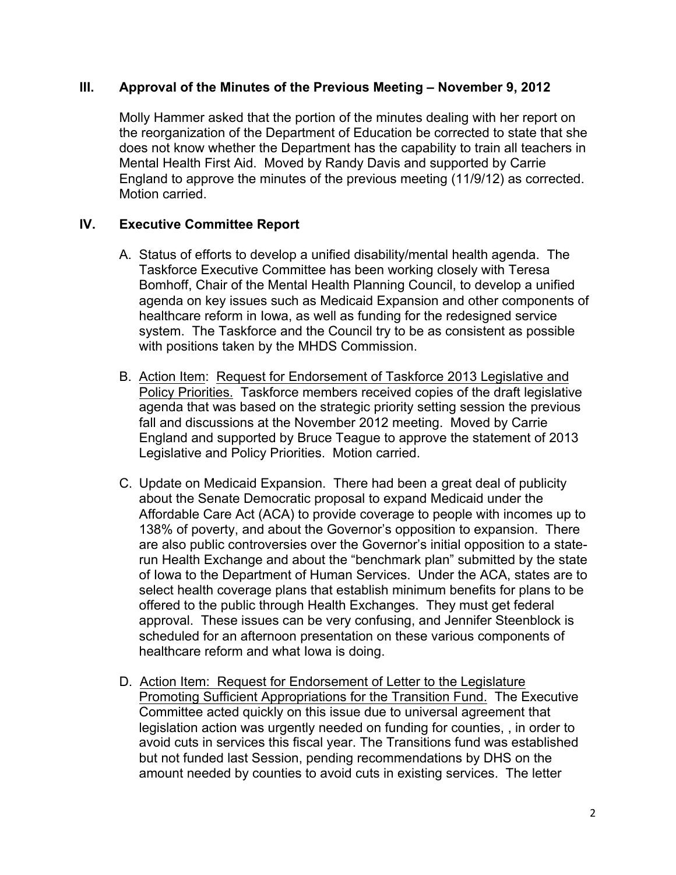### **III. Approval of the Minutes of the Previous Meeting – November 9, 2012**

Molly Hammer asked that the portion of the minutes dealing with her report on the reorganization of the Department of Education be corrected to state that she does not know whether the Department has the capability to train all teachers in Mental Health First Aid. Moved by Randy Davis and supported by Carrie England to approve the minutes of the previous meeting (11/9/12) as corrected. Motion carried.

# **IV. Executive Committee Report**

- A. Status of efforts to develop a unified disability/mental health agenda. The Taskforce Executive Committee has been working closely with Teresa Bomhoff, Chair of the Mental Health Planning Council, to develop a unified agenda on key issues such as Medicaid Expansion and other components of healthcare reform in Iowa, as well as funding for the redesigned service system. The Taskforce and the Council try to be as consistent as possible with positions taken by the MHDS Commission.
- B. Action Item: Request for Endorsement of Taskforce 2013 Legislative and Policy Priorities. Taskforce members received copies of the draft legislative agenda that was based on the strategic priority setting session the previous fall and discussions at the November 2012 meeting. Moved by Carrie England and supported by Bruce Teague to approve the statement of 2013 Legislative and Policy Priorities. Motion carried.
- C. Update on Medicaid Expansion. There had been a great deal of publicity about the Senate Democratic proposal to expand Medicaid under the Affordable Care Act (ACA) to provide coverage to people with incomes up to 138% of poverty, and about the Governor's opposition to expansion. There are also public controversies over the Governor's initial opposition to a staterun Health Exchange and about the "benchmark plan" submitted by the state of Iowa to the Department of Human Services. Under the ACA, states are to select health coverage plans that establish minimum benefits for plans to be offered to the public through Health Exchanges. They must get federal approval. These issues can be very confusing, and Jennifer Steenblock is scheduled for an afternoon presentation on these various components of healthcare reform and what Iowa is doing.
- D. Action Item: Request for Endorsement of Letter to the Legislature Promoting Sufficient Appropriations for the Transition Fund. The Executive Committee acted quickly on this issue due to universal agreement that legislation action was urgently needed on funding for counties, , in order to avoid cuts in services this fiscal year. The Transitions fund was established but not funded last Session, pending recommendations by DHS on the amount needed by counties to avoid cuts in existing services. The letter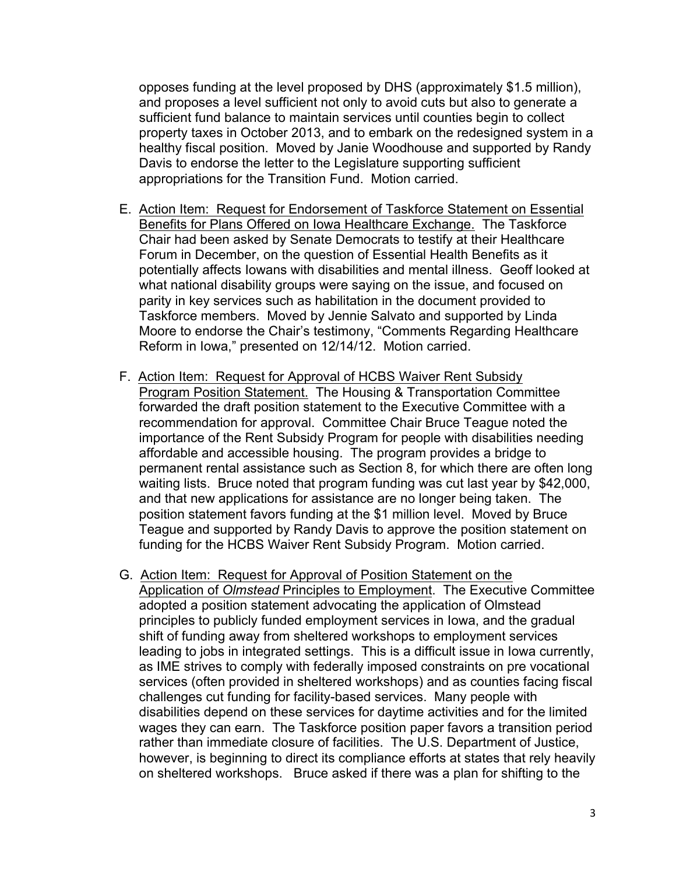opposes funding at the level proposed by DHS (approximately \$1.5 million), and proposes a level sufficient not only to avoid cuts but also to generate a sufficient fund balance to maintain services until counties begin to collect property taxes in October 2013, and to embark on the redesigned system in a healthy fiscal position. Moved by Janie Woodhouse and supported by Randy Davis to endorse the letter to the Legislature supporting sufficient appropriations for the Transition Fund. Motion carried.

- E. Action Item: Request for Endorsement of Taskforce Statement on Essential Benefits for Plans Offered on Iowa Healthcare Exchange. The Taskforce Chair had been asked by Senate Democrats to testify at their Healthcare Forum in December, on the question of Essential Health Benefits as it potentially affects Iowans with disabilities and mental illness. Geoff looked at what national disability groups were saying on the issue, and focused on parity in key services such as habilitation in the document provided to Taskforce members. Moved by Jennie Salvato and supported by Linda Moore to endorse the Chair's testimony, "Comments Regarding Healthcare Reform in Iowa," presented on 12/14/12. Motion carried.
- F. Action Item: Request for Approval of HCBS Waiver Rent Subsidy Program Position Statement. The Housing & Transportation Committee forwarded the draft position statement to the Executive Committee with a recommendation for approval. Committee Chair Bruce Teague noted the importance of the Rent Subsidy Program for people with disabilities needing affordable and accessible housing. The program provides a bridge to permanent rental assistance such as Section 8, for which there are often long waiting lists. Bruce noted that program funding was cut last year by \$42,000, and that new applications for assistance are no longer being taken. The position statement favors funding at the \$1 million level. Moved by Bruce Teague and supported by Randy Davis to approve the position statement on funding for the HCBS Waiver Rent Subsidy Program. Motion carried.
- G. Action Item: Request for Approval of Position Statement on the Application of *Olmstead* Principles to Employment. The Executive Committee adopted a position statement advocating the application of Olmstead principles to publicly funded employment services in Iowa, and the gradual shift of funding away from sheltered workshops to employment services leading to jobs in integrated settings. This is a difficult issue in Iowa currently, as IME strives to comply with federally imposed constraints on pre vocational services (often provided in sheltered workshops) and as counties facing fiscal challenges cut funding for facility-based services. Many people with disabilities depend on these services for daytime activities and for the limited wages they can earn. The Taskforce position paper favors a transition period rather than immediate closure of facilities. The U.S. Department of Justice, however, is beginning to direct its compliance efforts at states that rely heavily on sheltered workshops. Bruce asked if there was a plan for shifting to the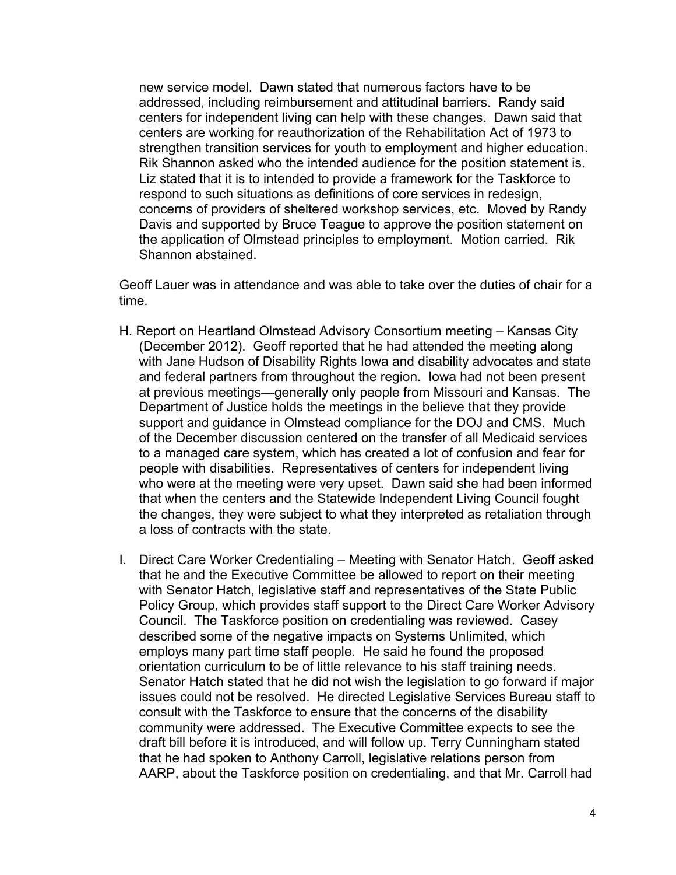new service model. Dawn stated that numerous factors have to be addressed, including reimbursement and attitudinal barriers. Randy said centers for independent living can help with these changes. Dawn said that centers are working for reauthorization of the Rehabilitation Act of 1973 to strengthen transition services for youth to employment and higher education. Rik Shannon asked who the intended audience for the position statement is. Liz stated that it is to intended to provide a framework for the Taskforce to respond to such situations as definitions of core services in redesign, concerns of providers of sheltered workshop services, etc. Moved by Randy Davis and supported by Bruce Teague to approve the position statement on the application of Olmstead principles to employment. Motion carried. Rik Shannon abstained.

Geoff Lauer was in attendance and was able to take over the duties of chair for a time.

- H. Report on Heartland Olmstead Advisory Consortium meeting Kansas City (December 2012). Geoff reported that he had attended the meeting along with Jane Hudson of Disability Rights Iowa and disability advocates and state and federal partners from throughout the region. Iowa had not been present at previous meetings—generally only people from Missouri and Kansas. The Department of Justice holds the meetings in the believe that they provide support and guidance in Olmstead compliance for the DOJ and CMS. Much of the December discussion centered on the transfer of all Medicaid services to a managed care system, which has created a lot of confusion and fear for people with disabilities. Representatives of centers for independent living who were at the meeting were very upset. Dawn said she had been informed that when the centers and the Statewide Independent Living Council fought the changes, they were subject to what they interpreted as retaliation through a loss of contracts with the state.
- I. Direct Care Worker Credentialing Meeting with Senator Hatch. Geoff asked that he and the Executive Committee be allowed to report on their meeting with Senator Hatch, legislative staff and representatives of the State Public Policy Group, which provides staff support to the Direct Care Worker Advisory Council. The Taskforce position on credentialing was reviewed. Casey described some of the negative impacts on Systems Unlimited, which employs many part time staff people. He said he found the proposed orientation curriculum to be of little relevance to his staff training needs. Senator Hatch stated that he did not wish the legislation to go forward if major issues could not be resolved. He directed Legislative Services Bureau staff to consult with the Taskforce to ensure that the concerns of the disability community were addressed. The Executive Committee expects to see the draft bill before it is introduced, and will follow up. Terry Cunningham stated that he had spoken to Anthony Carroll, legislative relations person from AARP, about the Taskforce position on credentialing, and that Mr. Carroll had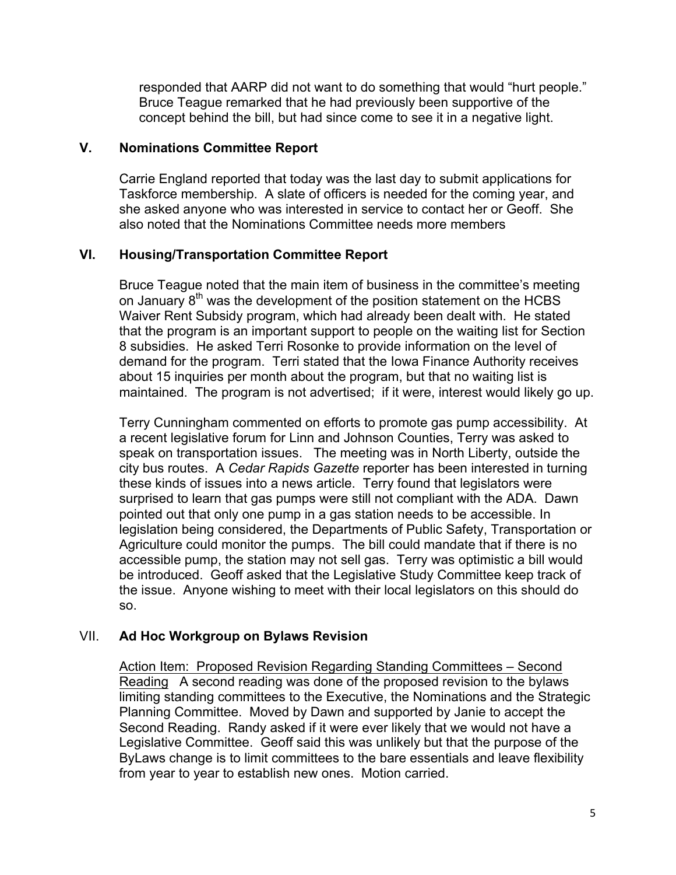responded that AARP did not want to do something that would "hurt people." Bruce Teague remarked that he had previously been supportive of the concept behind the bill, but had since come to see it in a negative light.

### **V. Nominations Committee Report**

Carrie England reported that today was the last day to submit applications for Taskforce membership. A slate of officers is needed for the coming year, and she asked anyone who was interested in service to contact her or Geoff. She also noted that the Nominations Committee needs more members

# **VI. Housing/Transportation Committee Report**

Bruce Teague noted that the main item of business in the committee's meeting on January  $8<sup>th</sup>$  was the development of the position statement on the HCBS Waiver Rent Subsidy program, which had already been dealt with. He stated that the program is an important support to people on the waiting list for Section 8 subsidies. He asked Terri Rosonke to provide information on the level of demand for the program. Terri stated that the Iowa Finance Authority receives about 15 inquiries per month about the program, but that no waiting list is maintained. The program is not advertised; if it were, interest would likely go up.

Terry Cunningham commented on efforts to promote gas pump accessibility. At a recent legislative forum for Linn and Johnson Counties, Terry was asked to speak on transportation issues. The meeting was in North Liberty, outside the city bus routes. A *Cedar Rapids Gazette* reporter has been interested in turning these kinds of issues into a news article. Terry found that legislators were surprised to learn that gas pumps were still not compliant with the ADA. Dawn pointed out that only one pump in a gas station needs to be accessible. In legislation being considered, the Departments of Public Safety, Transportation or Agriculture could monitor the pumps. The bill could mandate that if there is no accessible pump, the station may not sell gas. Terry was optimistic a bill would be introduced. Geoff asked that the Legislative Study Committee keep track of the issue. Anyone wishing to meet with their local legislators on this should do so.

# VII. **Ad Hoc Workgroup on Bylaws Revision**

Action Item: Proposed Revision Regarding Standing Committees – Second Reading A second reading was done of the proposed revision to the bylaws limiting standing committees to the Executive, the Nominations and the Strategic Planning Committee. Moved by Dawn and supported by Janie to accept the Second Reading. Randy asked if it were ever likely that we would not have a Legislative Committee. Geoff said this was unlikely but that the purpose of the ByLaws change is to limit committees to the bare essentials and leave flexibility from year to year to establish new ones. Motion carried.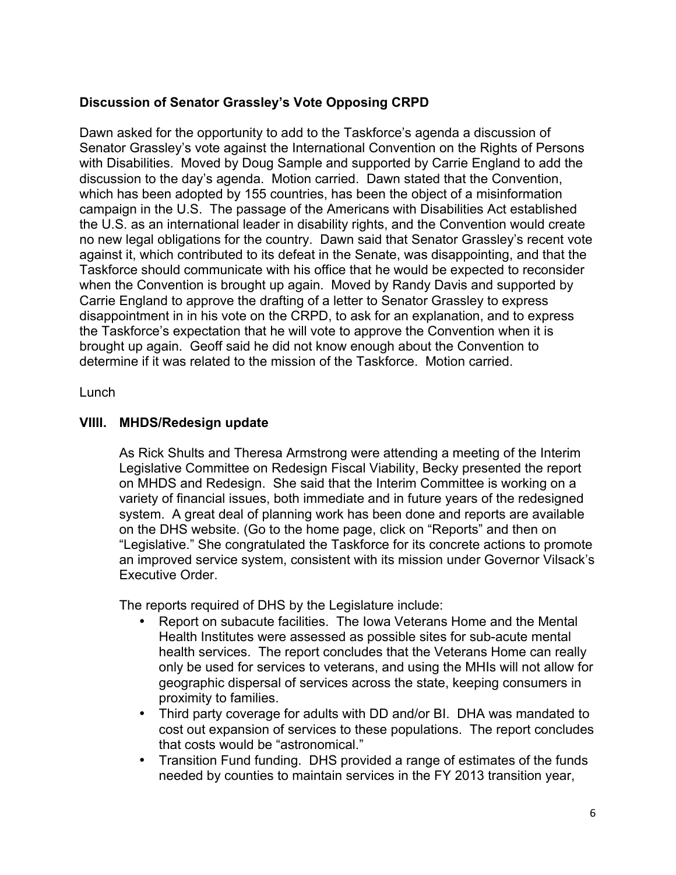# **Discussion of Senator Grassley's Vote Opposing CRPD**

Dawn asked for the opportunity to add to the Taskforce's agenda a discussion of Senator Grassley's vote against the International Convention on the Rights of Persons with Disabilities. Moved by Doug Sample and supported by Carrie England to add the discussion to the day's agenda. Motion carried. Dawn stated that the Convention, which has been adopted by 155 countries, has been the object of a misinformation campaign in the U.S. The passage of the Americans with Disabilities Act established the U.S. as an international leader in disability rights, and the Convention would create no new legal obligations for the country. Dawn said that Senator Grassley's recent vote against it, which contributed to its defeat in the Senate, was disappointing, and that the Taskforce should communicate with his office that he would be expected to reconsider when the Convention is brought up again. Moved by Randy Davis and supported by Carrie England to approve the drafting of a letter to Senator Grassley to express disappointment in in his vote on the CRPD, to ask for an explanation, and to express the Taskforce's expectation that he will vote to approve the Convention when it is brought up again. Geoff said he did not know enough about the Convention to determine if it was related to the mission of the Taskforce. Motion carried.

Lunch

# **VIIII. MHDS/Redesign update**

As Rick Shults and Theresa Armstrong were attending a meeting of the Interim Legislative Committee on Redesign Fiscal Viability, Becky presented the report on MHDS and Redesign. She said that the Interim Committee is working on a variety of financial issues, both immediate and in future years of the redesigned system. A great deal of planning work has been done and reports are available on the DHS website. (Go to the home page, click on "Reports" and then on "Legislative." She congratulated the Taskforce for its concrete actions to promote an improved service system, consistent with its mission under Governor Vilsack's Executive Order.

The reports required of DHS by the Legislature include:

- Report on subacute facilities. The Iowa Veterans Home and the Mental Health Institutes were assessed as possible sites for sub-acute mental health services. The report concludes that the Veterans Home can really only be used for services to veterans, and using the MHIs will not allow for geographic dispersal of services across the state, keeping consumers in proximity to families.
- Third party coverage for adults with DD and/or BI. DHA was mandated to cost out expansion of services to these populations. The report concludes that costs would be "astronomical."
- Transition Fund funding. DHS provided a range of estimates of the funds needed by counties to maintain services in the FY 2013 transition year,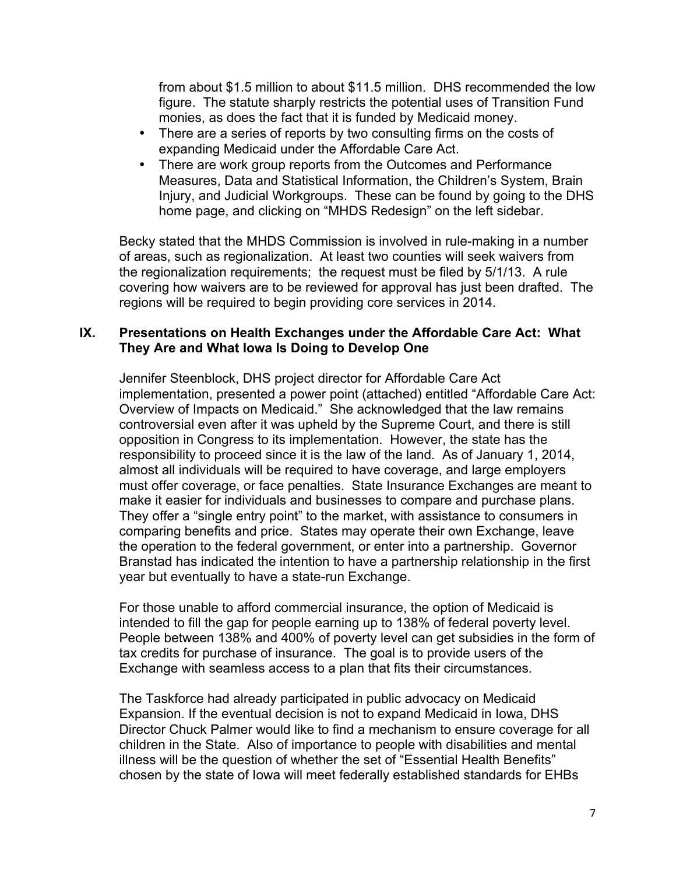from about \$1.5 million to about \$11.5 million. DHS recommended the low figure. The statute sharply restricts the potential uses of Transition Fund monies, as does the fact that it is funded by Medicaid money.

- There are a series of reports by two consulting firms on the costs of expanding Medicaid under the Affordable Care Act.
- There are work group reports from the Outcomes and Performance Measures, Data and Statistical Information, the Children's System, Brain Injury, and Judicial Workgroups. These can be found by going to the DHS home page, and clicking on "MHDS Redesign" on the left sidebar.

Becky stated that the MHDS Commission is involved in rule-making in a number of areas, such as regionalization. At least two counties will seek waivers from the regionalization requirements; the request must be filed by 5/1/13. A rule covering how waivers are to be reviewed for approval has just been drafted. The regions will be required to begin providing core services in 2014.

### **IX. Presentations on Health Exchanges under the Affordable Care Act: What They Are and What Iowa Is Doing to Develop One**

Jennifer Steenblock, DHS project director for Affordable Care Act implementation, presented a power point (attached) entitled "Affordable Care Act: Overview of Impacts on Medicaid." She acknowledged that the law remains controversial even after it was upheld by the Supreme Court, and there is still opposition in Congress to its implementation. However, the state has the responsibility to proceed since it is the law of the land. As of January 1, 2014, almost all individuals will be required to have coverage, and large employers must offer coverage, or face penalties. State Insurance Exchanges are meant to make it easier for individuals and businesses to compare and purchase plans. They offer a "single entry point" to the market, with assistance to consumers in comparing benefits and price. States may operate their own Exchange, leave the operation to the federal government, or enter into a partnership. Governor Branstad has indicated the intention to have a partnership relationship in the first year but eventually to have a state-run Exchange.

For those unable to afford commercial insurance, the option of Medicaid is intended to fill the gap for people earning up to 138% of federal poverty level. People between 138% and 400% of poverty level can get subsidies in the form of tax credits for purchase of insurance. The goal is to provide users of the Exchange with seamless access to a plan that fits their circumstances.

The Taskforce had already participated in public advocacy on Medicaid Expansion. If the eventual decision is not to expand Medicaid in Iowa, DHS Director Chuck Palmer would like to find a mechanism to ensure coverage for all children in the State. Also of importance to people with disabilities and mental illness will be the question of whether the set of "Essential Health Benefits" chosen by the state of Iowa will meet federally established standards for EHBs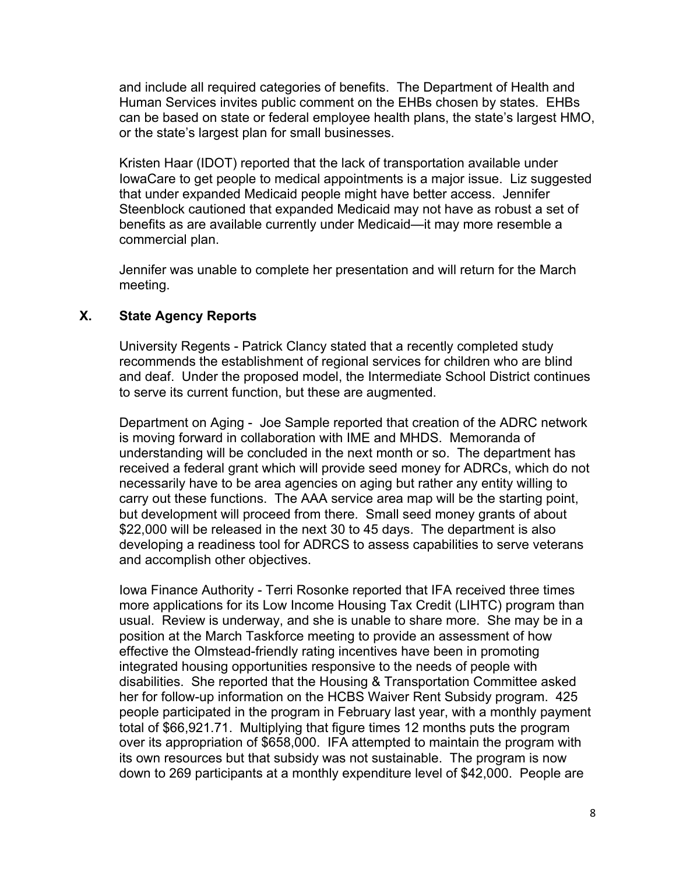and include all required categories of benefits. The Department of Health and Human Services invites public comment on the EHBs chosen by states. EHBs can be based on state or federal employee health plans, the state's largest HMO, or the state's largest plan for small businesses.

Kristen Haar (IDOT) reported that the lack of transportation available under IowaCare to get people to medical appointments is a major issue. Liz suggested that under expanded Medicaid people might have better access. Jennifer Steenblock cautioned that expanded Medicaid may not have as robust a set of benefits as are available currently under Medicaid—it may more resemble a commercial plan.

Jennifer was unable to complete her presentation and will return for the March meeting.

# **X. State Agency Reports**

University Regents - Patrick Clancy stated that a recently completed study recommends the establishment of regional services for children who are blind and deaf. Under the proposed model, the Intermediate School District continues to serve its current function, but these are augmented.

Department on Aging - Joe Sample reported that creation of the ADRC network is moving forward in collaboration with IME and MHDS. Memoranda of understanding will be concluded in the next month or so. The department has received a federal grant which will provide seed money for ADRCs, which do not necessarily have to be area agencies on aging but rather any entity willing to carry out these functions. The AAA service area map will be the starting point, but development will proceed from there. Small seed money grants of about \$22,000 will be released in the next 30 to 45 days. The department is also developing a readiness tool for ADRCS to assess capabilities to serve veterans and accomplish other objectives.

Iowa Finance Authority - Terri Rosonke reported that IFA received three times more applications for its Low Income Housing Tax Credit (LIHTC) program than usual. Review is underway, and she is unable to share more. She may be in a position at the March Taskforce meeting to provide an assessment of how effective the Olmstead-friendly rating incentives have been in promoting integrated housing opportunities responsive to the needs of people with disabilities. She reported that the Housing & Transportation Committee asked her for follow-up information on the HCBS Waiver Rent Subsidy program. 425 people participated in the program in February last year, with a monthly payment total of \$66,921.71. Multiplying that figure times 12 months puts the program over its appropriation of \$658,000. IFA attempted to maintain the program with its own resources but that subsidy was not sustainable. The program is now down to 269 participants at a monthly expenditure level of \$42,000. People are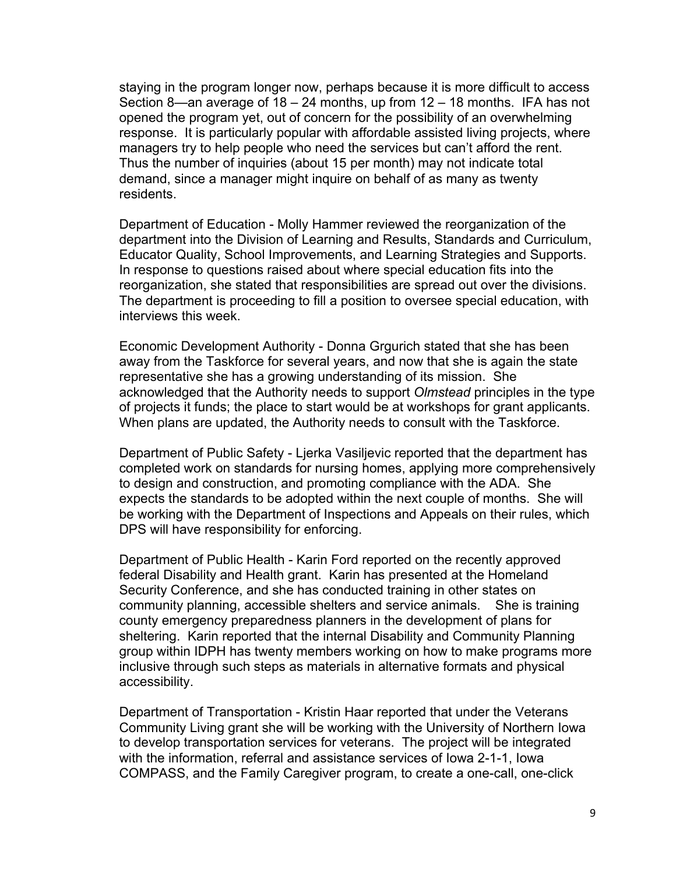staying in the program longer now, perhaps because it is more difficult to access Section 8—an average of 18 – 24 months, up from 12 – 18 months. IFA has not opened the program yet, out of concern for the possibility of an overwhelming response. It is particularly popular with affordable assisted living projects, where managers try to help people who need the services but can't afford the rent. Thus the number of inquiries (about 15 per month) may not indicate total demand, since a manager might inquire on behalf of as many as twenty residents.

Department of Education - Molly Hammer reviewed the reorganization of the department into the Division of Learning and Results, Standards and Curriculum, Educator Quality, School Improvements, and Learning Strategies and Supports. In response to questions raised about where special education fits into the reorganization, she stated that responsibilities are spread out over the divisions. The department is proceeding to fill a position to oversee special education, with interviews this week.

Economic Development Authority - Donna Grgurich stated that she has been away from the Taskforce for several years, and now that she is again the state representative she has a growing understanding of its mission. She acknowledged that the Authority needs to support *Olmstead* principles in the type of projects it funds; the place to start would be at workshops for grant applicants. When plans are updated, the Authority needs to consult with the Taskforce.

Department of Public Safety - Ljerka Vasiljevic reported that the department has completed work on standards for nursing homes, applying more comprehensively to design and construction, and promoting compliance with the ADA. She expects the standards to be adopted within the next couple of months. She will be working with the Department of Inspections and Appeals on their rules, which DPS will have responsibility for enforcing.

Department of Public Health - Karin Ford reported on the recently approved federal Disability and Health grant. Karin has presented at the Homeland Security Conference, and she has conducted training in other states on community planning, accessible shelters and service animals. She is training county emergency preparedness planners in the development of plans for sheltering. Karin reported that the internal Disability and Community Planning group within IDPH has twenty members working on how to make programs more inclusive through such steps as materials in alternative formats and physical accessibility.

Department of Transportation - Kristin Haar reported that under the Veterans Community Living grant she will be working with the University of Northern Iowa to develop transportation services for veterans. The project will be integrated with the information, referral and assistance services of Iowa 2-1-1, Iowa COMPASS, and the Family Caregiver program, to create a one-call, one-click